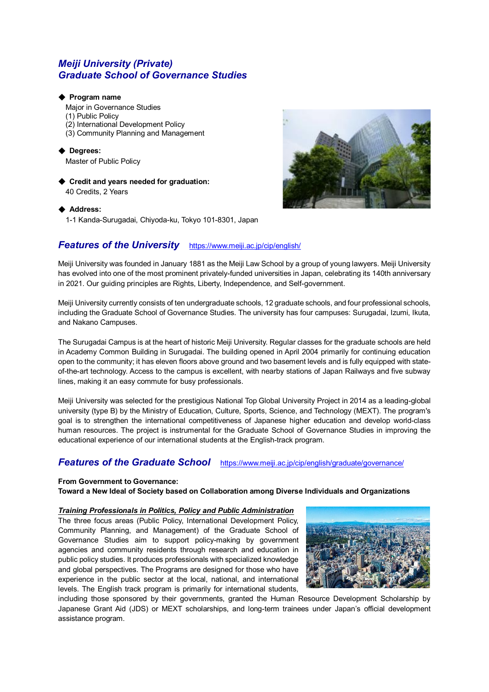# *Meiji University (Private) Graduate School of Governance Studies*

## ◆ **Program name**

Major in Governance Studies

- (1) Public Policy
- (2) International Development Policy
- (3) Community Planning and Management

◆ **Degrees:** Master of Public Policy

◆ **Credit and years needed for graduation:**  40 Credits, 2 Years

## ◆ **Address:**

1-1 Kanda-Surugadai, Chiyoda-ku, Tokyo 101-8301, Japan



# **Features of the University** <https://www.meiji.ac.jp/cip/english/>

Meiji University was founded in January 1881 as the Meiji Law School by a group of young lawyers. Meiji University has evolved into one of the most prominent privately-funded universities in Japan, celebrating its 140th anniversary in 2021. Our guiding principles are Rights, Liberty, Independence, and Self-government.

Meiji University currently consists of ten undergraduate schools, 12 graduate schools, and four professional schools, including the Graduate School of Governance Studies. The university has four campuses: Surugadai, Izumi, Ikuta, and Nakano Campuses.

The Surugadai Campus is at the heart of historic Meiji University. Regular classes for the graduate schools are held in Academy Common Building in Surugadai. The building opened in April 2004 primarily for continuing education open to the community; it has eleven floors above ground and two basement levels and is fully equipped with stateof-the-art technology. Access to the campus is excellent, with nearby stations of Japan Railways and five subway lines, making it an easy commute for busy professionals.

Meiji University was selected for the prestigious National Top Global University Project in 2014 as a leading-global university (type B) by the Ministry of Education, Culture, Sports, Science, and Technology (MEXT). The program's goal is to strengthen the international competitiveness of Japanese higher education and develop world-class human resources. The project is instrumental for the Graduate School of Governance Studies in improving the educational experience of our international students at the English-track program.

# *Features of the Graduate School* <https://www.meiji.ac.jp/cip/english/graduate/governance/>

## **From Government to Governance:**

**Toward a New Ideal of Society based on Collaboration among Diverse Individuals and Organizations**

## *Training Professionals in Politics, Policy and Public Administration*

The three focus areas (Public Policy, International Development Policy, Community Planning, and Management) of the Graduate School of Governance Studies aim to support policy-making by government agencies and community residents through research and education in public policy studies. It produces professionals with specialized knowledge and global perspectives. The Programs are designed for those who have experience in the public sector at the local, national, and international levels. The English track program is primarily for international students,



including those sponsored by their governments, granted the Human Resource Development Scholarship by Japanese Grant Aid (JDS) or MEXT scholarships, and long-term trainees under Japan's official development assistance program.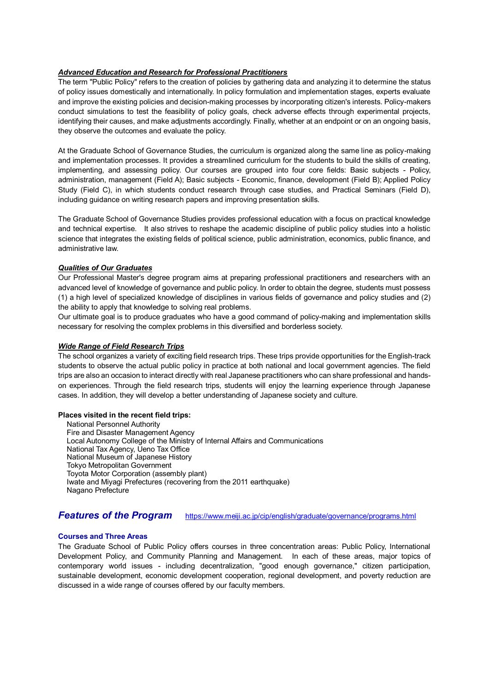# *Advanced Education and Research for Professional Practitioners*

The term "Public Policy" refers to the creation of policies by gathering data and analyzing it to determine the status of policy issues domestically and internationally. In policy formulation and implementation stages, experts evaluate and improve the existing policies and decision-making processes by incorporating citizen's interests. Policy-makers conduct simulations to test the feasibility of policy goals, check adverse effects through experimental projects, identifying their causes, and make adjustments accordingly. Finally, whether at an endpoint or on an ongoing basis, they observe the outcomes and evaluate the policy.

At the Graduate School of Governance Studies, the curriculum is organized along the same line as policy-making and implementation processes. It provides a streamlined curriculum for the students to build the skills of creating, implementing, and assessing policy. Our courses are grouped into four core fields: Basic subjects - Policy, administration, management (Field A); Basic subjects - Economic, finance, development (Field B); Applied Policy Study (Field C), in which students conduct research through case studies, and Practical Seminars (Field D), including guidance on writing research papers and improving presentation skills.

The Graduate School of Governance Studies provides professional education with a focus on practical knowledge and technical expertise. It also strives to reshape the academic discipline of public policy studies into a holistic science that integrates the existing fields of political science, public administration, economics, public finance, and administrative law.

#### *Qualities of Our Graduates*

Our Professional Master's degree program aims at preparing professional practitioners and researchers with an advanced level of knowledge of governance and public policy. In order to obtain the degree, students must possess (1) a high level of specialized knowledge of disciplines in various fields of governance and policy studies and (2) the ability to apply that knowledge to solving real problems.

Our ultimate goal is to produce graduates who have a good command of policy-making and implementation skills necessary for resolving the complex problems in this diversified and borderless society.

#### *Wide Range of Field Research Trips*

The school organizes a variety of exciting field research trips. These trips provide opportunities for the English-track students to observe the actual public policy in practice at both national and local government agencies. The field trips are also an occasion to interact directly with real Japanese practitioners who can share professional and handson experiences. Through the field research trips, students will enjoy the learning experience through Japanese cases. In addition, they will develop a better understanding of Japanese society and culture.

#### **Places visited in the recent field trips:**

National Personnel Authority Fire and Disaster Management Agency Local Autonomy College of the Ministry of Internal Affairs and Communications National Tax Agency, Ueno Tax Office National Museum of Japanese History Tokyo Metropolitan Government Toyota Motor Corporation (assembly plant) Iwate and Miyagi Prefectures (recovering from the 2011 earthquake) Nagano Prefecture

## **Features of the Program** <https://www.meiji.ac.jp/cip/english/graduate/governance/programs.html>

#### **Courses and Three Areas**

The Graduate School of Public Policy offers courses in three concentration areas: Public Policy, International Development Policy, and Community Planning and Management. In each of these areas, major topics of contemporary world issues - including decentralization, "good enough governance," citizen participation, sustainable development, economic development cooperation, regional development, and poverty reduction are discussed in a wide range of courses offered by our faculty members.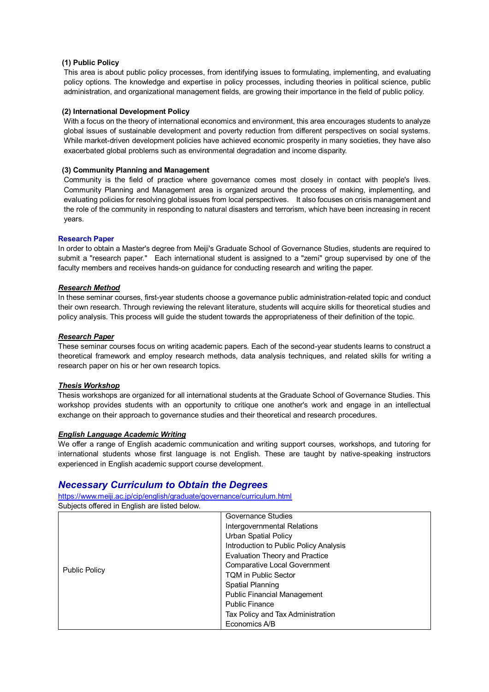### **(1) Public Policy**

This area is about public policy processes, from identifying issues to formulating, implementing, and evaluating policy options. The knowledge and expertise in policy processes, including theories in political science, public administration, and organizational management fields, are growing their importance in the field of public policy.

### **(2) International Development Policy**

With a focus on the theory of international economics and environment, this area encourages students to analyze global issues of sustainable development and poverty reduction from different perspectives on social systems. While market-driven development policies have achieved economic prosperity in many societies, they have also exacerbated global problems such as environmental degradation and income disparity.

#### **(3) Community Planning and Management**

Community is the field of practice where governance comes most closely in contact with people's lives. Community Planning and Management area is organized around the process of making, implementing, and evaluating policies for resolving global issues from local perspectives. It also focuses on crisis management and the role of the community in responding to natural disasters and terrorism, which have been increasing in recent years.

#### **Research Paper**

In order to obtain a Master's degree from Meiji's Graduate School of Governance Studies, students are required to submit a "research paper." Each international student is assigned to a "zemi" group supervised by one of the faculty members and receives hands-on guidance for conducting research and writing the paper.

#### *Research Method*

In these seminar courses, first-year students choose a governance public administration-related topic and conduct their own research. Through reviewing the relevant literature, students will acquire skills for theoretical studies and policy analysis. This process will guide the student towards the appropriateness of their definition of the topic.

#### *Research Paper*

These seminar courses focus on writing academic papers. Each of the second-year students learns to construct a theoretical framework and employ research methods, data analysis techniques, and related skills for writing a research paper on his or her own research topics.

## *Thesis Workshop*

Thesis workshops are organized for all international students at the Graduate School of Governance Studies. This workshop provides students with an opportunity to critique one another's work and engage in an intellectual exchange on their approach to governance studies and their theoretical and research procedures.

#### *English Language Academic Writing*

We offer a range of English academic communication and writing support courses, workshops, and tutoring for international students whose first language is not English. These are taught by native-speaking instructors experienced in English academic support course development.

# *Necessary Curriculum to Obtain the Degrees*

<https://www.meiji.ac.jp/cip/english/graduate/governance/curriculum.html> Subjects offered in English are listed below.

| <b>Public Policy</b> | Governance Studies                     |
|----------------------|----------------------------------------|
|                      | Intergovernmental Relations            |
|                      | <b>Urban Spatial Policy</b>            |
|                      | Introduction to Public Policy Analysis |
|                      | <b>Evaluation Theory and Practice</b>  |
|                      | <b>Comparative Local Government</b>    |
|                      | <b>TQM in Public Sector</b>            |
|                      | <b>Spatial Planning</b>                |
|                      | <b>Public Financial Management</b>     |
|                      | <b>Public Finance</b>                  |
|                      | Tax Policy and Tax Administration      |
|                      | Economics A/B                          |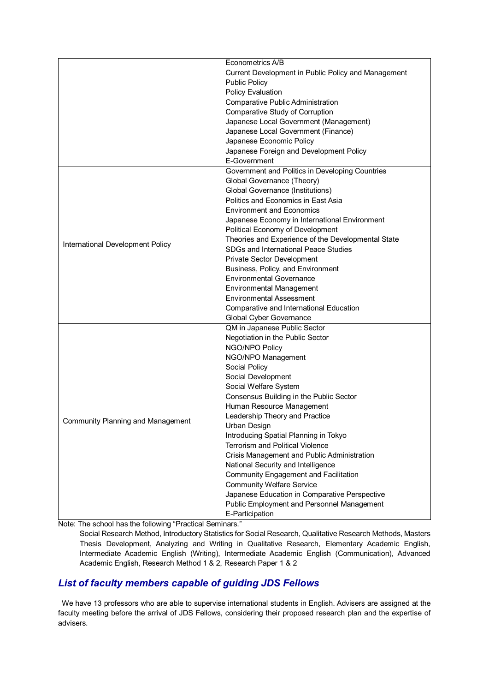|                                          | Econometrics A/B                                    |
|------------------------------------------|-----------------------------------------------------|
|                                          | Current Development in Public Policy and Management |
|                                          | <b>Public Policy</b>                                |
|                                          | <b>Policy Evaluation</b>                            |
|                                          |                                                     |
|                                          | Comparative Public Administration                   |
|                                          | Comparative Study of Corruption                     |
|                                          | Japanese Local Government (Management)              |
|                                          | Japanese Local Government (Finance)                 |
|                                          | Japanese Economic Policy                            |
|                                          | Japanese Foreign and Development Policy             |
|                                          | E-Government                                        |
|                                          | Government and Politics in Developing Countries     |
|                                          | Global Governance (Theory)                          |
|                                          | Global Governance (Institutions)                    |
|                                          | Politics and Economics in East Asia                 |
|                                          | <b>Environment and Economics</b>                    |
|                                          | Japanese Economy in International Environment       |
|                                          | Political Economy of Development                    |
| International Development Policy         | Theories and Experience of the Developmental State  |
|                                          | SDGs and International Peace Studies                |
|                                          | Private Sector Development                          |
|                                          | Business, Policy, and Environment                   |
|                                          | <b>Environmental Governance</b>                     |
|                                          | <b>Environmental Management</b>                     |
|                                          | <b>Environmental Assessment</b>                     |
|                                          | Comparative and International Education             |
|                                          | Global Cyber Governance                             |
|                                          | QM in Japanese Public Sector                        |
|                                          | Negotiation in the Public Sector                    |
|                                          | NGO/NPO Policy                                      |
|                                          | NGO/NPO Management                                  |
|                                          | Social Policy                                       |
|                                          | Social Development                                  |
|                                          | Social Welfare System                               |
|                                          | Consensus Building in the Public Sector             |
|                                          | Human Resource Management                           |
| <b>Community Planning and Management</b> | Leadership Theory and Practice                      |
|                                          | Urban Design                                        |
|                                          | Introducing Spatial Planning in Tokyo               |
|                                          | Terrorism and Political Violence                    |
|                                          | Crisis Management and Public Administration         |
|                                          | National Security and Intelligence                  |
|                                          | <b>Community Engagement and Facilitation</b>        |
|                                          | <b>Community Welfare Service</b>                    |
|                                          | Japanese Education in Comparative Perspective       |
|                                          | Public Employment and Personnel Management          |
|                                          | E-Participation                                     |

Note: The school has the following "Practical Seminars."

Social Research Method, Introductory Statistics for Social Research, Qualitative Research Methods, Masters Thesis Development, Analyzing and Writing in Qualitative Research, Elementary Academic English, Intermediate Academic English (Writing), Intermediate Academic English (Communication), Advanced Academic English, Research Method 1 & 2, Research Paper 1 & 2

# *List of faculty members capable of guiding JDS Fellows*

We have 13 professors who are able to supervise international students in English. Advisers are assigned at the faculty meeting before the arrival of JDS Fellows, considering their proposed research plan and the expertise of advisers.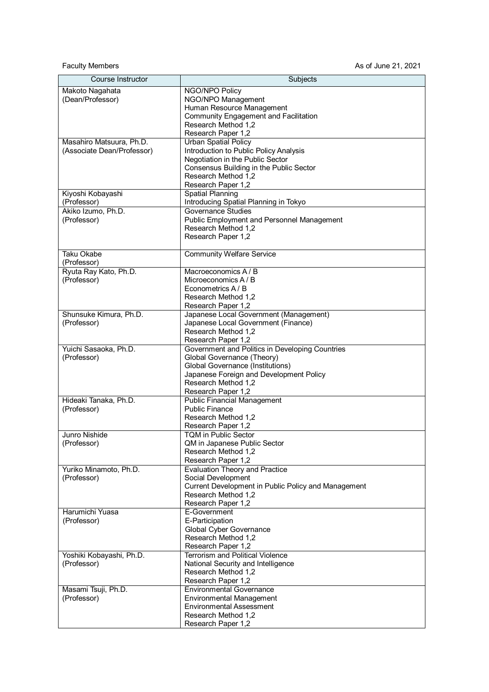Faculty Members **As of June 21, 2021** 

| Course Instructor                     | Subjects                                                                      |
|---------------------------------------|-------------------------------------------------------------------------------|
| Makoto Nagahata                       | NGO/NPO Policy                                                                |
| (Dean/Professor)                      | NGO/NPO Management                                                            |
|                                       | Human Resource Management                                                     |
|                                       | <b>Community Engagement and Facilitation</b>                                  |
|                                       | Research Method 1,2                                                           |
|                                       | Research Paper 1,2                                                            |
| Masahiro Matsuura, Ph.D.              | <b>Urban Spatial Policy</b>                                                   |
| (Associate Dean/Professor)            | Introduction to Public Policy Analysis<br>Negotiation in the Public Sector    |
|                                       | Consensus Building in the Public Sector                                       |
|                                       | Research Method 1,2                                                           |
|                                       | Research Paper 1,2                                                            |
| Kiyoshi Kobayashi                     | <b>Spatial Planning</b>                                                       |
| (Professor)                           | Introducing Spatial Planning in Tokyo                                         |
| Akiko Izumo, Ph.D.                    | Governance Studies                                                            |
| (Professor)                           | Public Employment and Personnel Management                                    |
|                                       | Research Method 1.2                                                           |
|                                       | Research Paper 1,2                                                            |
| Taku Okabe                            | <b>Community Welfare Service</b>                                              |
| (Professor)                           |                                                                               |
| Ryuta Ray Kato, Ph.D.                 | Macroeconomics A / B                                                          |
| (Professor)                           | Microeconomics A/B                                                            |
|                                       | Econometrics A / B                                                            |
|                                       | Research Method 1,2                                                           |
|                                       | Research Paper 1,2                                                            |
| Shunsuke Kimura, Ph.D.<br>(Professor) | Japanese Local Government (Management)<br>Japanese Local Government (Finance) |
|                                       | Research Method 1,2                                                           |
|                                       | Research Paper 1,2                                                            |
| Yuichi Sasaoka, Ph.D.                 | Government and Politics in Developing Countries                               |
| (Professor)                           | Global Governance (Theory)                                                    |
|                                       | Global Governance (Institutions)                                              |
|                                       | Japanese Foreign and Development Policy                                       |
|                                       | Research Method 1,2                                                           |
| Hideaki Tanaka, Ph.D.                 | Research Paper 1,2<br><b>Public Financial Management</b>                      |
| (Professor)                           | <b>Public Finance</b>                                                         |
|                                       | Research Method 1,2                                                           |
|                                       | Research Paper 1,2                                                            |
| Junro Nishide                         | <b>TQM</b> in Public Sector                                                   |
| (Professor)                           | QM in Japanese Public Sector                                                  |
|                                       | Research Method 1,2                                                           |
|                                       | Research Paper 1,2                                                            |
| Yuriko Minamoto, Ph.D.<br>(Professor) | <b>Evaluation Theory and Practice</b><br>Social Development                   |
|                                       | Current Development in Public Policy and Management                           |
|                                       | Research Method 1,2                                                           |
|                                       | Research Paper 1,2                                                            |
| Harumichi Yuasa                       | E-Government                                                                  |
| (Professor)                           | E-Participation                                                               |
|                                       | <b>Global Cyber Governance</b>                                                |
|                                       | Research Method 1,2<br>Research Paper 1,2                                     |
| Yoshiki Kobayashi, Ph.D.              | <b>Terrorism and Political Violence</b>                                       |
| (Professor)                           | National Security and Intelligence                                            |
|                                       | Research Method 1,2                                                           |
|                                       | Research Paper 1,2                                                            |
| Masami Tsuji, Ph.D.                   | <b>Environmental Governance</b>                                               |
| (Professor)                           | <b>Environmental Management</b>                                               |
|                                       | <b>Environmental Assessment</b>                                               |
|                                       | Research Method 1,2                                                           |
|                                       | Research Paper 1,2                                                            |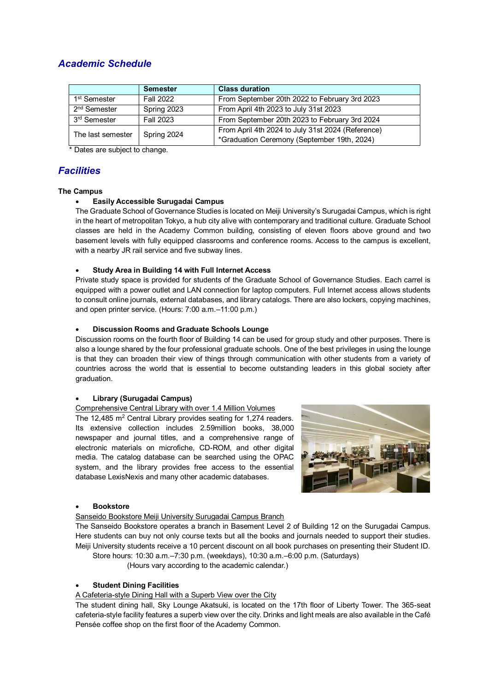# *Academic Schedule*

|                                  | <b>Semester</b>  | <b>Class duration</b>                             |
|----------------------------------|------------------|---------------------------------------------------|
| 1 <sup>st</sup> Semester         | <b>Fall 2022</b> | From September 20th 2022 to February 3rd 2023     |
| 2 <sup>nd</sup> Semester         | Spring 2023      | From April 4th 2023 to July 31st 2023             |
| 3 <sup>rd</sup> Semester         | <b>Fall 2023</b> | From September 20th 2023 to February 3rd 2024     |
| Spring 2024<br>The last semester |                  | From April 4th 2024 to July 31st 2024 (Reference) |
|                                  |                  | *Graduation Ceremony (September 19th, 2024)       |

\* Dates are subject to change.

# *Facilities*

# **The Campus**

# **Easily Accessible Surugadai Campus**

The Graduate School of Governance Studies is located on Meiji University's Surugadai Campus, which is right in the heart of metropolitan Tokyo, a hub city alive with contemporary and traditional culture. Graduate School classes are held in the Academy Common building, consisting of eleven floors above ground and two basement levels with fully equipped classrooms and conference rooms. Access to the campus is excellent, with a nearby JR rail service and five subway lines.

# **Study Area in Building 14 with Full Internet Access**

Private study space is provided for students of the Graduate School of Governance Studies. Each carrel is equipped with a power outlet and LAN connection for laptop computers. Full Internet access allows students to consult online journals, external databases, and library catalogs. There are also lockers, copying machines, and open printer service. (Hours: 7:00 a.m.–11:00 p.m.)

# **Discussion Rooms and Graduate Schools Lounge**

Discussion rooms on the fourth floor of Building 14 can be used for group study and other purposes. There is also a lounge shared by the four professional graduate schools. One of the best privileges in using the lounge is that they can broaden their view of things through communication with other students from a variety of countries across the world that is essential to become outstanding leaders in this global society after graduation.

## **Library (Surugadai Campus)**

## Comprehensive Central Library with over 1.4 Million Volumes

The 12,485 m<sup>2</sup> Central Library provides seating for 1,274 readers. Its extensive collection includes 2.59million books, 38,000 newspaper and journal titles, and a comprehensive range of electronic materials on microfiche, CD-ROM, and other digital media. The catalog database can be searched using the OPAC system, and the library provides free access to the essential database LexisNexis and many other academic databases.



## **Bookstore**

## Sanseido Bookstore Meiji University Surugadai Campus Branch

The Sanseido Bookstore operates a branch in Basement Level 2 of Building 12 on the Surugadai Campus. Here students can buy not only course texts but all the books and journals needed to support their studies. Meiji University students receive a 10 percent discount on all book purchases on presenting their Student ID. Store hours: 10:30 a.m.–7:30 p.m. (weekdays), 10:30 a.m.–6:00 p.m. (Saturdays)

(Hours vary according to the academic calendar.)

## **Student Dining Facilities**

## A Cafeteria-style Dining Hall with a Superb View over the City

The student dining hall, Sky Lounge Akatsuki, is located on the 17th floor of Liberty Tower. The 365-seat cafeteria-style facility features a superb view over the city. Drinks and light meals are also available in the Café Pensée coffee shop on the first floor of the Academy Common.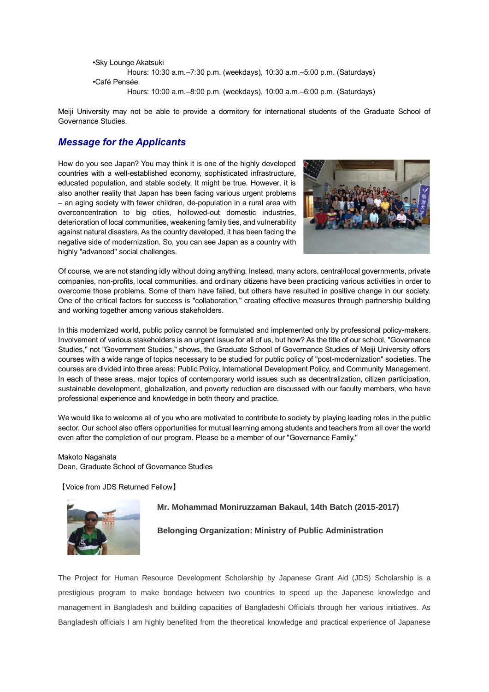```
•Sky Lounge Akatsuki
         Hours: 10:30 a.m.–7:30 p.m. (weekdays), 10:30 a.m.–5:00 p.m. (Saturdays)
•Café Pensée
         Hours: 10:00 a.m.–8:00 p.m. (weekdays), 10:00 a.m.–6:00 p.m. (Saturdays)
```
Meiji University may not be able to provide a dormitory for international students of the Graduate School of Governance Studies.

# *Message for the Applicants*

How do you see Japan? You may think it is one of the highly developed countries with a well-established economy, sophisticated infrastructure, educated population, and stable society. It might be true. However, it is also another reality that Japan has been facing various urgent problems – an aging society with fewer children, de-population in a rural area with overconcentration to big cities, hollowed-out domestic industries, deterioration of local communities, weakening family ties, and vulnerability against natural disasters. As the country developed, it has been facing the negative side of modernization. So, you can see Japan as a country with highly "advanced" social challenges.



Of course, we are not standing idly without doing anything. Instead, many actors, central/local governments, private companies, non-profits, local communities, and ordinary citizens have been practicing various activities in order to overcome those problems. Some of them have failed, but others have resulted in positive change in our society. One of the critical factors for success is "collaboration," creating effective measures through partnership building and working together among various stakeholders.

In this modernized world, public policy cannot be formulated and implemented only by professional policy-makers. Involvement of various stakeholders is an urgent issue for all of us, but how? As the title of our school, "Governance Studies," not "Government Studies," shows, the Graduate School of Governance Studies of Meiji University offers courses with a wide range of topics necessary to be studied for public policy of "post-modernization" societies. The courses are divided into three areas: Public Policy, International Development Policy, and Community Management. In each of these areas, major topics of contemporary world issues such as decentralization, citizen participation, sustainable development, globalization, and poverty reduction are discussed with our faculty members, who have professional experience and knowledge in both theory and practice.

We would like to welcome all of you who are motivated to contribute to society by playing leading roles in the public sector. Our school also offers opportunities for mutual learning among students and teachers from all over the world even after the completion of our program. Please be a member of our "Governance Family."

#### Makoto Nagahata

Dean, Graduate School of Governance Studies

【Voice from JDS Returned Fellow】



**Mr. Mohammad Moniruzzaman Bakaul, 14th Batch (2015-2017)**

# **Belonging Organization: Ministry of Public Administration**

The Project for Human Resource Development Scholarship by Japanese Grant Aid (JDS) Scholarship is a prestigious program to make bondage between two countries to speed up the Japanese knowledge and management in Bangladesh and building capacities of Bangladeshi Officials through her various initiatives. As Bangladesh officials I am highly benefited from the theoretical knowledge and practical experience of Japanese